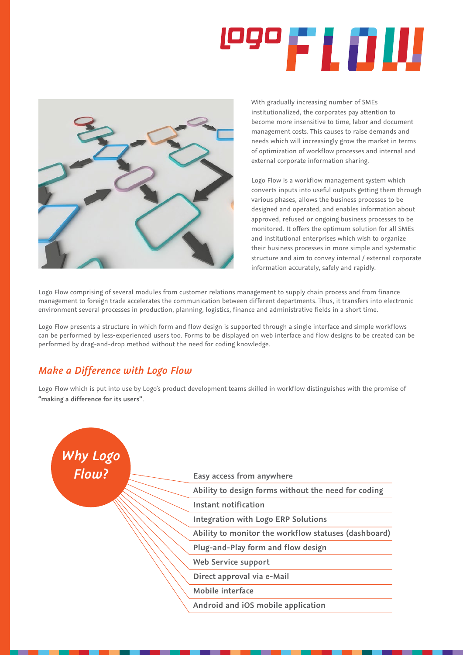## **1990 F L O UU**



With gradually increasing number of SMEs institutionalized, the corporates pay attention to become more insensitive to time, labor and document management costs. This causes to raise demands and needs which will increasingly grow the market in terms of optimization of workflow processes and internal and external corporate information sharing.

Logo Flow is a workflow management system which converts inputs into useful outputs getting them through various phases, allows the business processes to be designed and operated, and enables information about approved, refused or ongoing business processes to be monitored. It offers the optimum solution for all SMEs and institutional enterprises which wish to organize their business processes in more simple and systematic structure and aim to convey internal / external corporate information accurately, safely and rapidly.

Logo Flow comprising of several modules from customer relations management to supply chain process and from finance management to foreign trade accelerates the communication between different departments. Thus, it transfers into electronic environment several processes in production, planning, logistics, finance and administrative fields in a short time.

Logo Flow presents a structure in which form and flow design is supported through a single interface and simple workflows can be performed by less-experienced users too. Forms to be displayed on web interface and flow designs to be created can be performed by drag-and-drop method without the need for coding knowledge.

## *Make a Difference with Logo Flow*

Logo Flow which is put into use by Logo's product development teams skilled in workflow distinguishes with the promise of **"making a difference for its users"**.